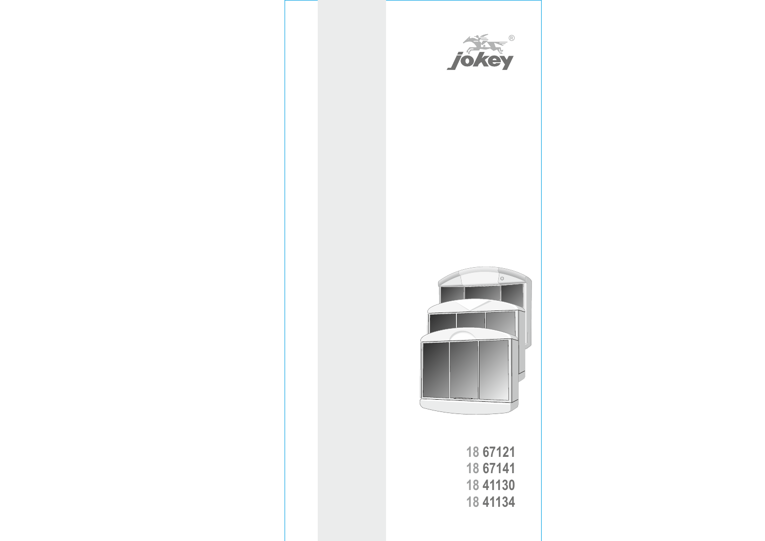